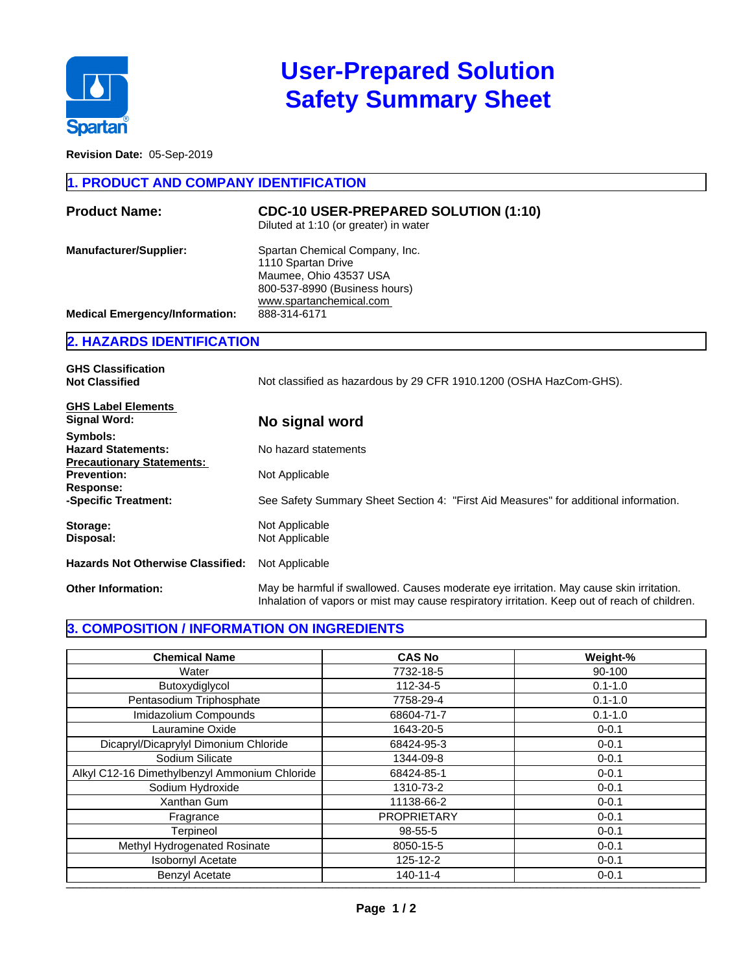

# **User-Prepared Solution Safety Summary Sheet**

**Revision Date:** 05-Sep-2019

#### **1. PRODUCT AND COMPANY IDENTIFICATION**

| Diluted at 1:10 (or greater) in water                                                                                                                                                                                                |  |
|--------------------------------------------------------------------------------------------------------------------------------------------------------------------------------------------------------------------------------------|--|
| Spartan Chemical Company, Inc.<br><b>Manufacturer/Supplier:</b><br>1110 Spartan Drive<br>Maumee, Ohio 43537 USA<br>800-537-8990 (Business hours)<br>www.spartanchemical.com<br><b>Medical Emergency/Information:</b><br>888-314-6171 |  |

## **2. HAZARDS IDENTIFICATION**

| <b>GHS Classification</b><br><b>Not Classified</b>                        | Not classified as hazardous by 29 CFR 1910.1200 (OSHA HazCom-GHS).                                                                                                                       |
|---------------------------------------------------------------------------|------------------------------------------------------------------------------------------------------------------------------------------------------------------------------------------|
| <b>GHS Label Elements</b><br><b>Signal Word:</b>                          | No signal word                                                                                                                                                                           |
| Symbols:<br><b>Hazard Statements:</b><br><b>Precautionary Statements:</b> | No hazard statements                                                                                                                                                                     |
| <b>Prevention:</b><br>Response:                                           | Not Applicable                                                                                                                                                                           |
| -Specific Treatment:                                                      | See Safety Summary Sheet Section 4: "First Aid Measures" for additional information.                                                                                                     |
| Storage:<br>Disposal:                                                     | Not Applicable<br>Not Applicable                                                                                                                                                         |
| <b>Hazards Not Otherwise Classified:</b>                                  | Not Applicable                                                                                                                                                                           |
| <b>Other Information:</b>                                                 | May be harmful if swallowed. Causes moderate eye irritation. May cause skin irritation.<br>Inhalation of vapors or mist may cause respiratory irritation. Keep out of reach of children. |

#### **3. COMPOSITION / INFORMATION ON INGREDIENTS**

| <b>Chemical Name</b>                          | <b>CAS No</b>      | Weight-%    |
|-----------------------------------------------|--------------------|-------------|
| Water                                         | 7732-18-5          | 90-100      |
| Butoxydiglycol                                | 112-34-5           | $0.1 - 1.0$ |
| Pentasodium Triphosphate                      | 7758-29-4          | $0.1 - 1.0$ |
| Imidazolium Compounds                         | 68604-71-7         | $0.1 - 1.0$ |
| Lauramine Oxide                               | 1643-20-5          | $0 - 0.1$   |
| Dicapryl/Dicaprylyl Dimonium Chloride         | 68424-95-3         | $0 - 0.1$   |
| Sodium Silicate                               | 1344-09-8          | $0 - 0.1$   |
| Alkyl C12-16 Dimethylbenzyl Ammonium Chloride | 68424-85-1         | $0 - 0.1$   |
| Sodium Hydroxide                              | 1310-73-2          | $0 - 0.1$   |
| <b>Xanthan Gum</b>                            | 11138-66-2         | $0 - 0.1$   |
| Fragrance                                     | <b>PROPRIETARY</b> | $0 - 0.1$   |
| Terpineol                                     | 98-55-5            | $0 - 0.1$   |
| Methyl Hydrogenated Rosinate                  | 8050-15-5          | $0 - 0.1$   |
| <b>Isobornyl Acetate</b>                      | 125-12-2           | $0 - 0.1$   |
| <b>Benzyl Acetate</b>                         | $140 - 11 - 4$     | $0 - 0.1$   |